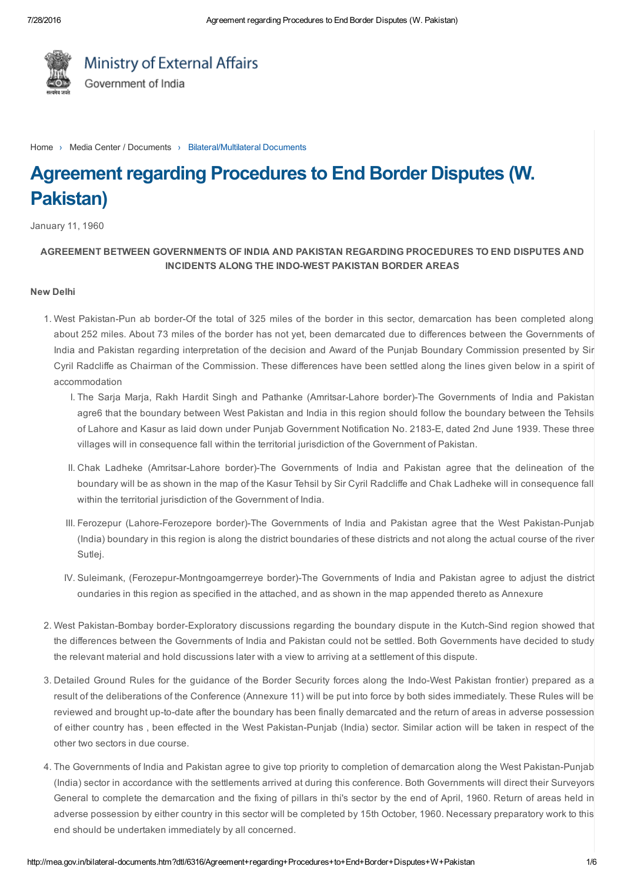

Ministry of External Affairs Government of India

[Home](http://mea.gov.in/index.htm) > Media Center / Documents > Bilateral/Multilateral Documents

# Agreement regarding Procedures to End Border Disputes (W. Pakistan)

January 11, 1960

# AGREEMENT BETWEEN GOVERNMENTS OF INDIA AND PAKISTAN REGARDING PROCEDURES TO END DISPUTES AND INCIDENTS ALONG THE INDO-WEST PAKISTAN BORDER AREAS

### New Delhi

- 1. West Pakistan-Pun ab border-Of the total of 325 miles of the border in this sector, demarcation has been completed along about 252 miles. About 73 miles of the border has not yet, been demarcated due to differences between the Governments of India and Pakistan regarding interpretation of the decision and Award of the Punjab Boundary Commission presented by Sir Cyril Radcliffe as Chairman of the Commission. These differences have been settled along the lines given below in a spirit of accommodation
	- I. The Sarja Marja, Rakh Hardit Singh and Pathanke (Amritsar-Lahore border)-The Governments of India and Pakistan agre6 that the boundary between West Pakistan and India in this region should follow the boundary between the Tehsils of Lahore and Kasur as laid down under Punjab Government Notification No. 2183-E, dated 2nd June 1939. These three villages will in consequence fall within the territorial jurisdiction of the Government of Pakistan.
	- II. Chak Ladheke (Amritsar-Lahore border)-The Governments of India and Pakistan agree that the delineation of the boundary will be as shown in the map of the Kasur Tehsil by Sir Cyril Radcliffe and Chak Ladheke will in consequence fall within the territorial jurisdiction of the Government of India.
	- III. Ferozepur (Lahore-Ferozepore border)-The Governments of India and Pakistan agree that the West Pakistan-Punjab (India) boundary in this region is along the district boundaries of these districts and not along the actual course of the river Sutlej.
	- IV. Suleimank, (Ferozepur-Montngoamgerreye border)-The Governments of India and Pakistan agree to adjust the district oundaries in this region as specified in the attached, and as shown in the map appended thereto as Annexure
- 2. West Pakistan-Bombay border-Exploratory discussions regarding the boundary dispute in the Kutch-Sind region showed that the differences between the Governments of India and Pakistan could not be settled. Both Governments have decided to study the relevant material and hold discussions later with a view to arriving at a settlement of this dispute.
- 3. Detailed Ground Rules for the guidance of the Border Security forces along the Indo-West Pakistan frontier) prepared as a result of the deliberations of the Conference (Annexure 11) will be put into force by both sides immediately. These Rules will be reviewed and brought up-to-date after the boundary has been finally demarcated and the return of areas in adverse possession of either country has, been effected in the West Pakistan-Punjab (India) sector. Similar action will be taken in respect of the other two sectors in due course.
- 4. The Governments of India and Pakistan agree to give top priority to completion of demarcation along the West Pakistan-Punjab (India) sector in accordance with the settlements arrived at during this conference. Both Governments will direct their Surveyors General to complete the demarcation and the fixing of pillars in thi's sector by the end of April, 1960. Return of areas held in adverse possession by either country in this sector will be completed by 15th October, 1960. Necessary preparatory work to this end should be undertaken immediately by all concerned.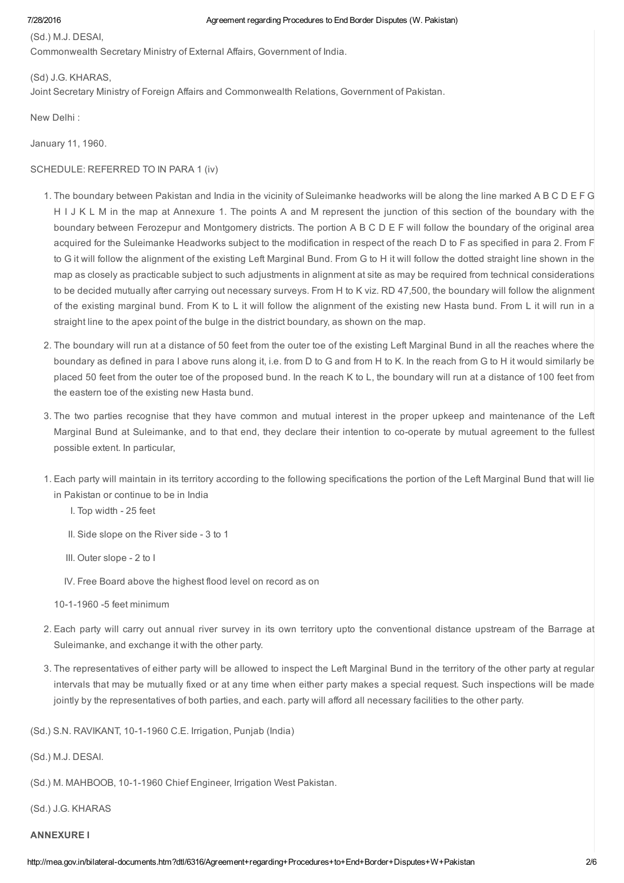(Sd.) M.J. DESAI,

Commonwealth Secretary Ministry of External Affairs, Government of India.

# (Sd) J.G. KHARAS,

Joint Secretary Ministry of Foreign Affairs and Commonwealth Relations, Government of Pakistan.

New Delhi :

January 11, 1960.

# SCHEDULE: REFERRED TO IN PARA 1 (iv)

- 1. The boundary between Pakistan and India in the vicinity of Suleimanke headworks will be along the line marked A B C D E F G H I J K L M in the map at Annexure 1. The points A and M represent the junction of this section of the boundary with the boundary between Ferozepur and Montgomery districts. The portion A B C D E F will follow the boundary of the original area acquired for the Suleimanke Headworks subject to the modification in respect of the reach D to F as specified in para 2. From F to G it will follow the alignment of the existing Left Marginal Bund. From G to H it will follow the dotted straight line shown in the map as closely as practicable subject to such adjustments in alignment at site as may be required from technical considerations to be decided mutually after carrying out necessary surveys. From H to K viz. RD 47,500, the boundary will follow the alignment of the existing marginal bund. From K to L it will follow the alignment of the existing new Hasta bund. From L it will run in a straight line to the apex point of the bulge in the district boundary, as shown on the map.
- 2. The boundary will run at a distance of 50 feet from the outer toe of the existing Left Marginal Bund in all the reaches where the boundary as defined in para I above runs along it, i.e. from D to G and from H to K. In the reach from G to H it would similarly be placed 50 feet from the outer toe of the proposed bund. In the reach K to L, the boundary will run at a distance of 100 feet from the eastern toe of the existing new Hasta bund.
- 3. The two parties recognise that they have common and mutual interest in the proper upkeep and maintenance of the Left Marginal Bund at Suleimanke, and to that end, they declare their intention to co-operate by mutual agreement to the fullest possible extent. In particular,
- 1. Each party will maintain in its territory according to the following specifications the portion of the Left Marginal Bund that will lie in Pakistan or continue to be in India
	- I. Top width 25 feet
	- II. Side slope on the River side 3 to 1
	- III. Outer slope 2 to I
	- IV. Free Board above the highest flood level on record as on
	- 10-1-1960 -5 feet minimum
- 2. Each party will carry out annual river survey in its own territory upto the conventional distance upstream of the Barrage at Suleimanke, and exchange it with the other party.
- 3. The representatives of either party will be allowed to inspect the Left Marginal Bund in the territory of the other party at regular intervals that may be mutually fixed or at any time when either party makes a special request. Such inspections will be made jointly by the representatives of both parties, and each. party will afford all necessary facilities to the other party.
- (Sd.) S.N. RAVIKANT, 10-1-1960 C.E. Irrigation, Punjab (India)
- (Sd.) M.J. DESAI.
- (Sd.) M. MAHBOOB, 10-1-1960 Chief Engineer, Irrigation West Pakistan.

# (Sd.) J.G. KHARAS

# ANNEXURE I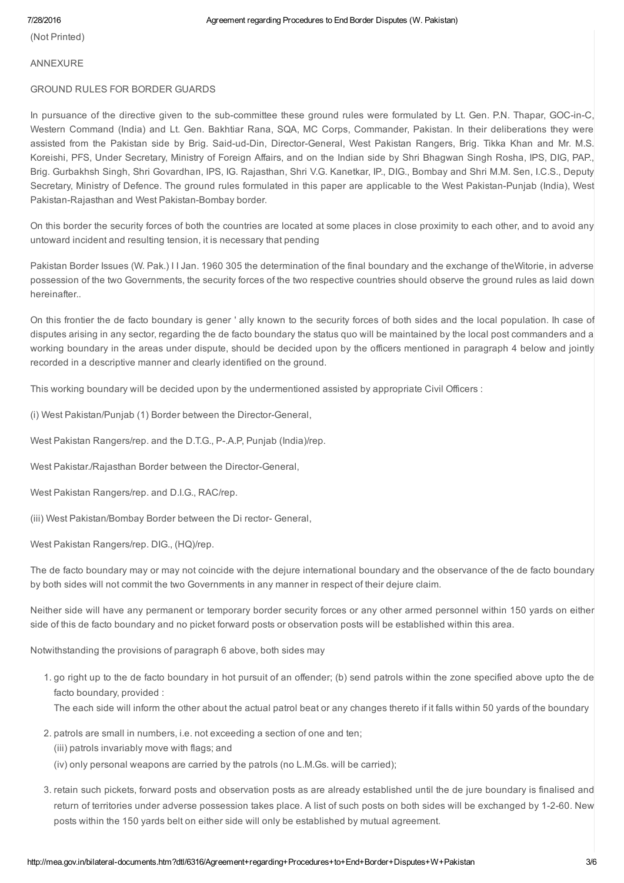(Not Printed)

### ANNEXURE

## GROUND RULES FOR BORDER GUARDS

In pursuance of the directive given to the sub-committee these ground rules were formulated by Lt. Gen. P.N. Thapar, GOC-in-C, Western Command (India) and Lt. Gen. Bakhtiar Rana, SQA, MC Corps, Commander, Pakistan. In their deliberations they were assisted from the Pakistan side by Brig. Said-ud-Din, Director-General, West Pakistan Rangers, Brig. Tikka Khan and Mr. M.S. Koreishi, PFS, Under Secretary, Ministry of Foreign Affairs, and on the Indian side by Shri Bhagwan Singh Rosha, IPS, DIG, PAP., Brig. Gurbakhsh Singh, Shri Govardhan, IPS, IG. Rajasthan, Shri V.G. Kanetkar, IP., DIG., Bombay and Shri M.M. Sen, I.C.S., Deputy Secretary, Ministry of Defence. The ground rules formulated in this paper are applicable to the West Pakistan-Punjab (India), West Pakistan-Rajasthan and West Pakistan-Bombay border.

On this border the security forces of both the countries are located at some places in close proximity to each other, and to avoid any untoward incident and resulting tension, it is necessary that pending

Pakistan Border Issues (W. Pak.) I I Jan. 1960 305 the determination of the final boundary and the exchange of theWitorie, in adverse possession of the two Governments, the security forces of the two respective countries should observe the ground rules as laid down hereinafter..

On this frontier the de facto boundary is gener ' ally known to the security forces of both sides and the local population. Ih case of disputes arising in any sector, regarding the de facto boundary the status quo will be maintained by the local post commanders and a working boundary in the areas under dispute, should be decided upon by the officers mentioned in paragraph 4 below and jointly recorded in a descriptive manner and clearly identified on the ground.

This working boundary will be decided upon by the undermentioned assisted by appropriate Civil Officers :

(i) West Pakistan/Punjab (1) Border between the Director-General,

West Pakistan Rangers/rep. and the D.T.G., P-.A.P, Punjab (India)/rep.

West Pakistar./Rajasthan Border between the Director-General,

West Pakistan Rangers/rep. and D.I.G., RAC/rep.

(iii) West Pakistan/Bombay Border between the Di rector- General,

West Pakistan Rangers/rep. DIG., (HQ)/rep.

The de facto boundary may or may not coincide with the dejure international boundary and the observance of the de facto boundary by both sides will not commit the two Governments in any manner in respect of their dejure claim.

Neither side will have any permanent or temporary border security forces or any other armed personnel within 150 yards on either side of this de facto boundary and no picket forward posts or observation posts will be established within this area.

Notwithstanding the provisions of paragraph 6 above, both sides may

1. go right up to the de facto boundary in hot pursuit of an offender; (b) send patrols within the zone specified above upto the de facto boundary, provided :

The each side will inform the other about the actual patrol beat or any changes thereto if it falls within 50 yards of the boundary

2. patrols are small in numbers, i.e. not exceeding a section of one and ten;

(iii) patrols invariably move with flags; and

(iv) only personal weapons are carried by the patrols (no L.M.Gs. will be carried);

3. retain such pickets, forward posts and observation posts as are already established until the de jure boundary is finalised and return of territories under adverse possession takes place. A list of such posts on both sides will be exchanged by 1-2-60. New posts within the 150 yards belt on either side will only be established by mutual agreement.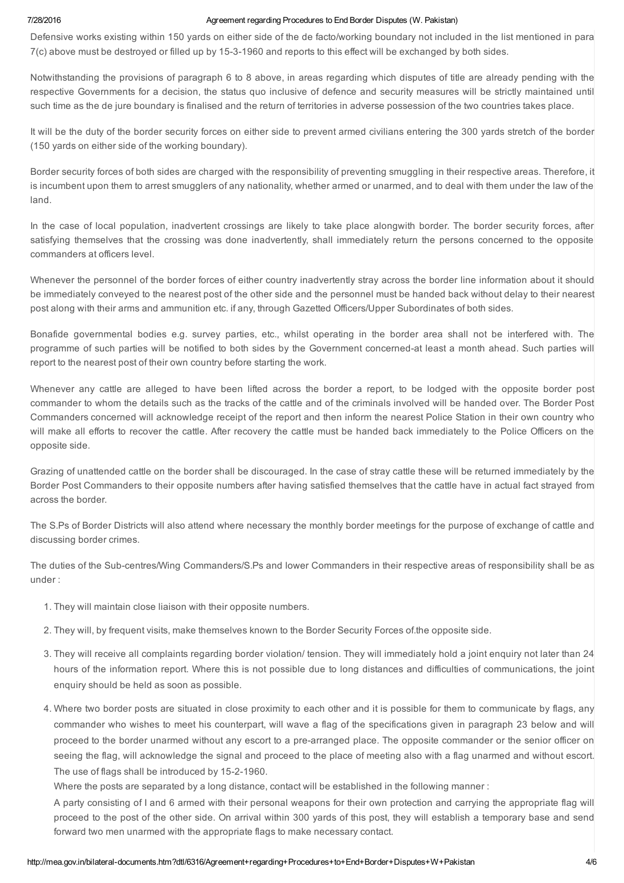#### 7/28/2016 Agreement regarding Procedures to End Border Disputes (W. Pakistan)

Defensive works existing within 150 yards on either side of the de facto/working boundary not included in the list mentioned in para 7(c) above must be destroyed or filled up by 15-3-1960 and reports to this effect will be exchanged by both sides.

Notwithstanding the provisions of paragraph 6 to 8 above, in areas regarding which disputes of title are already pending with the respective Governments for a decision, the status quo inclusive of defence and security measures will be strictly maintained until such time as the de jure boundary is finalised and the return of territories in adverse possession of the two countries takes place.

It will be the duty of the border security forces on either side to prevent armed civilians entering the 300 yards stretch of the border (150 yards on either side of the working boundary).

Border security forces of both sides are charged with the responsibility of preventing smuggling in their respective areas. Therefore, it is incumbent upon them to arrest smugglers of any nationality, whether armed or unarmed, and to deal with them under the law of the land.

In the case of local population, inadvertent crossings are likely to take place alongwith border. The border security forces, after satisfying themselves that the crossing was done inadvertently, shall immediately return the persons concerned to the opposite commanders at officers level.

Whenever the personnel of the border forces of either country inadvertently stray across the border line information about it should be immediately conveyed to the nearest post of the other side and the personnel must be handed back without delay to their nearest post along with their arms and ammunition etc. if any, through Gazetted Officers/Upper Subordinates of both sides.

Bonafide governmental bodies e.g. survey parties, etc., whilst operating in the border area shall not be interfered with. The programme of such parties will be notified to both sides by the Government concerned-at least a month ahead. Such parties will report to the nearest post of their own country before starting the work.

Whenever any cattle are alleged to have been lifted across the border a report, to be lodged with the opposite border post commander to whom the details such as the tracks of the cattle and of the criminals involved will be handed over. The Border Post Commanders concerned will acknowledge receipt of the report and then inform the nearest Police Station in their own country who will make all efforts to recover the cattle. After recovery the cattle must be handed back immediately to the Police Officers on the opposite side.

Grazing of unattended cattle on the border shall be discouraged. In the case of stray cattle these will be returned immediately by the Border Post Commanders to their opposite numbers after having satisfied themselves that the cattle have in actual fact strayed from across the border.

The S.Ps of Border Districts will also attend where necessary the monthly border meetings for the purpose of exchange of cattle and discussing border crimes.

The duties of the Sub-centres/Wing Commanders/S.Ps and lower Commanders in their respective areas of responsibility shall be as under :

- 1. They will maintain close liaison with their opposite numbers.
- 2. They will, by frequent visits, make themselves known to the Border Security Forces of.the opposite side.
- 3. They will receive all complaints regarding border violation/ tension. They will immediately hold a joint enquiry not later than 24 hours of the information report. Where this is not possible due to long distances and difficulties of communications, the joint enquiry should be held as soon as possible.
- 4. Where two border posts are situated in close proximity to each other and it is possible for them to communicate by flags, any commander who wishes to meet his counterpart, will wave a flag of the specifications given in paragraph 23 below and will proceed to the border unarmed without any escort to a pre-arranged place. The opposite commander or the senior officer on seeing the flag, will acknowledge the signal and proceed to the place of meeting also with a flag unarmed and without escort. The use of flags shall be introduced by 15-2-1960.

Where the posts are separated by a long distance, contact will be established in the following manner :

A party consisting of I and 6 armed with their personal weapons for their own protection and carrying the appropriate flag will proceed to the post of the other side. On arrival within 300 yards of this post, they will establish a temporary base and send forward two men unarmed with the appropriate flags to make necessary contact.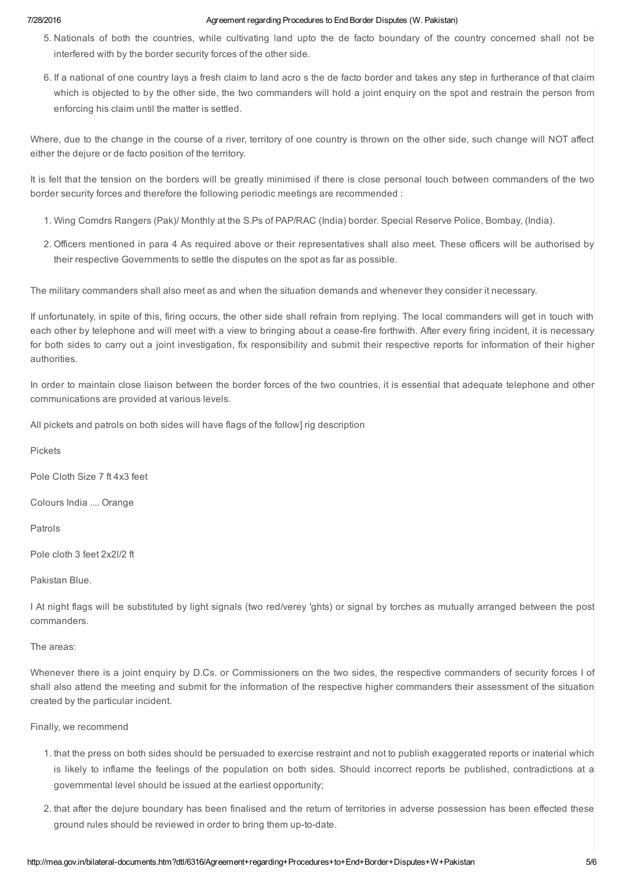#### 7/28/2016 Agreement regarding Procedures to End Border Disputes (W. Pakistan)

- 5. Nationals of both the countries, while cultivating land upto the de facto boundary of the country concerned shall not be interfered with by the border security forces of the other side.
- 6. If a national of one country lays a fresh claim to land acro s the de facto border and takes any step in furtherance of that claim which is objected to by the other side, the two commanders will hold a joint enquiry on the spot and restrain the person from enforcing his claim until the matter is settled.

Where, due to the change in the course of a river, territory of one country is thrown on the other side, such change will NOT affect either the dejure or de facto position of the territory.

It is felt that the tension on the borders will be greatly minimised if there is close personal touch between commanders of the two border security forces and therefore the following periodic meetings are recommended :

- 1. Wing Comdrs Rangers (Pak)/ Monthly at the S.Ps of PAP/RAC (India) border. Special Reserve Police, Bombay, (India).
- 2. Officers mentioned in para 4 As required above or their representatives shall also meet. These officers will be authorised by their respective Governments to settle the disputes on the spot as far as possible.

The military commanders shall also meet as and when the situation demands and whenever they consider it necessary.

If unfortunately, in spite of this, firing occurs, the other side shall refrain from replying. The local commanders will get in touch with each other by telephone and will meet with a view to bringing about a cease-fire forthwith. After every firing incident, it is necessary for both sides to carry out a joint investigation, fix responsibility and submit their respective reports for information of their higher authorities.

In order to maintain close liaison between the border forces of the two countries, it is essential that adequate telephone and other communications are provided at various levels.

All pickets and patrols on both sides will have flags of the follow] rig description

Pickets

Pole Cloth Size 7 ft 4x3 feet

Colours India .... Orange

Patrols

Pole cloth 3 feet 2x2l/2 ft

Pakistan Blue.

I At night flags will be substituted by light signals (two red/verey 'ghts) or signal by torches as mutually arranged between the post commanders.

The areas:

Whenever there is a joint enquiry by D.Cs. or Commissioners on the two sides, the respective commanders of security forces I of shall also attend the meeting and submit for the information of the respective higher commanders their assessment of the situation created by the particular incident.

### Finally, we recommend

- 1. that the press on both sides should be persuaded to exercise restraint and not to publish exaggerated reports or inaterial which is likely to inflame the feelings of the population on both sides. Should incorrect reports be published, contradictions at a governmental level should be issued at the earliest opportunity;
- 2. that after the dejure boundary has been finalised and the return of territories in adverse possession has been effected these ground rules should be reviewed in order to bring them up-to-date.